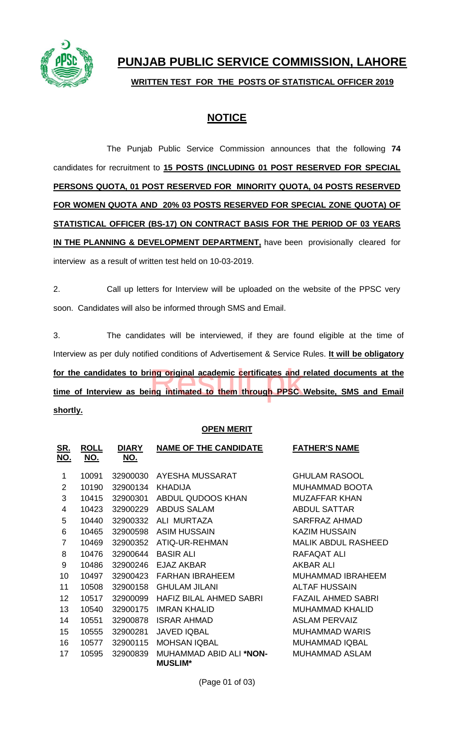

# **PUNJAB PUBLIC SERVICE COMMISSION, LAHORE**

**WRITTEN TEST FOR THE POSTS OF STATISTICAL OFFICER 2019**

## **NOTICE**

The Punjab Public Service Commission announces that the following **74** candidates for recruitment to **15 POSTS (INCLUDING 01 POST RESERVED FOR SPECIAL PERSONS QUOTA, 01 POST RESERVED FOR MINORITY QUOTA, 04 POSTS RESERVED FOR WOMEN QUOTA AND 20% 03 POSTS RESERVED FOR SPECIAL ZONE QUOTA) OF STATISTICAL OFFICER (BS-17) ON CONTRACT BASIS FOR THE PERIOD OF 03 YEARS IN THE PLANNING & DEVELOPMENT DEPARTMENT**, have been provisionally cleared for interview as a result of written test held on 10-03-2019.

2. Call up letters for Interview will be uploaded on the website of the PPSC very soon. Candidates will also be informed through SMS and Email.

3. The candidates will be interviewed, if they are found eligible at the time of Interview as per duly notified conditions of Advertisement & Service Rules. **It will be obligatory for the candidates to bring original academic certificates and related documents at the time of Interview as being intimated to them through PPSC Website, SMS and Email shortly.** ing original academic certificates and internal academic certificates and internal academic certificates and i

#### **OPEN MERIT**

| <u>SR.</u><br><u>NO.</u> | <b>ROLL</b><br><u>NO.</u> | <b>DIARY</b><br><u>NO.</u> | <b>NAME OF THE CANDIDATE</b>                      | <b>FATHER'S NAME</b>       |
|--------------------------|---------------------------|----------------------------|---------------------------------------------------|----------------------------|
| 1                        | 10091                     | 32900030                   | AYESHA MUSSARAT                                   | <b>GHULAM RASOOL</b>       |
| 2                        | 10190                     | 32900134                   | <b>KHADIJA</b>                                    | <b>MUHAMMAD BOOTA</b>      |
| 3                        | 10415                     | 32900301                   | ABDUL QUDOOS KHAN                                 | <b>MUZAFFAR KHAN</b>       |
| 4                        | 10423                     | 32900229                   | <b>ABDUS SALAM</b>                                | <b>ABDUL SATTAR</b>        |
| 5                        | 10440                     | 32900332                   | ALI MURTAZA                                       | SARFRAZ AHMAD              |
| 6                        | 10465                     | 32900598                   | <b>ASIM HUSSAIN</b>                               | <b>KAZIM HUSSAIN</b>       |
| 7                        | 10469                     | 32900352                   | ATIQ-UR-REHMAN                                    | <b>MALIK ABDUL RASHEED</b> |
| 8                        | 10476                     | 32900644                   | <b>BASIR ALI</b>                                  | <b>RAFAQAT ALI</b>         |
| 9                        | 10486                     | 32900246                   | F.JAZ AKBAR                                       | AKBAR ALI                  |
| 10                       | 10497                     | 32900423                   | <b>FARHAN IBRAHEEM</b>                            | <b>MUHAMMAD IBRAHEEM</b>   |
| 11                       | 10508                     | 32900158                   | <b>GHULAM JILANI</b>                              | <b>ALTAF HUSSAIN</b>       |
| 12                       | 10517                     | 32900099                   | <b>HAFIZ BILAL AHMED SABRI</b>                    | <b>FAZAIL AHMED SABRI</b>  |
| 13                       | 10540                     | 32900175                   | <b>IMRAN KHALID</b>                               | <b>MUHAMMAD KHALID</b>     |
| 14                       | 10551                     | 32900878                   | <b>ISRAR AHMAD</b>                                | <b>ASLAM PERVAIZ</b>       |
| 15                       | 10555                     | 32900281                   | <b>JAVED IQBAL</b>                                | <b>MUHAMMAD WARIS</b>      |
| 16                       | 10577                     | 32900115                   | <b>MOHSAN IQBAL</b>                               | <b>MUHAMMAD IQBAL</b>      |
| 17                       | 10595                     | 32900839                   | MUHAMMAD ABID ALI * <b>NON-</b><br><b>MUSLIM*</b> | <b>MUHAMMAD ASLAM</b>      |

(Page 01 of 03)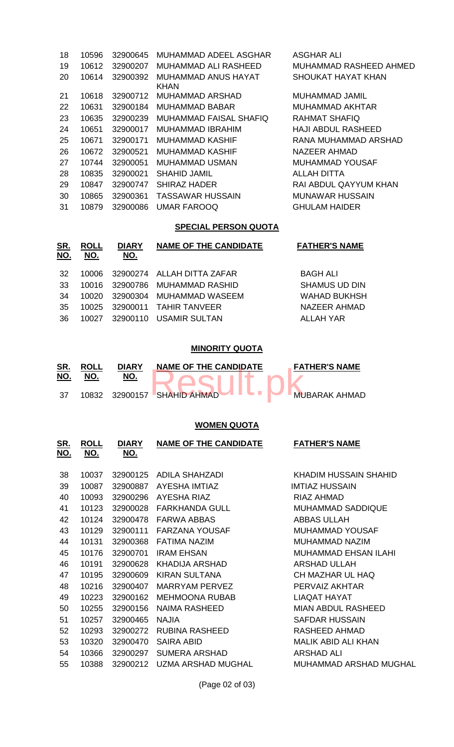| 18 | 10596 | 32900645 | MUHAMMAD ADEEL ASGHAR              | <b>ASGHAR ALI</b>         |
|----|-------|----------|------------------------------------|---------------------------|
| 19 | 10612 | 32900207 | MUHAMMAD ALI RASHEED.              | MUHAMMAD RASHEED AHMED    |
| 20 | 10614 | 32900392 | MUHAMMAD ANUS HAYAT<br><b>KHAN</b> | SHOUKAT HAYAT KHAN        |
| 21 | 10618 | 32900712 | <b>MUHAMMAD ARSHAD</b>             | MUHAMMAD JAMIL            |
| 22 | 10631 | 32900184 | <b>MUHAMMAD BABAR</b>              | MUHAMMAD AKHTAR           |
| 23 | 10635 | 32900239 | MUHAMMAD FAISAL SHAFIQ             | <b>RAHMAT SHAFIQ</b>      |
| 24 | 10651 | 32900017 | MUHAMMAD IBRAHIM                   | <b>HAJI ABDUL RASHEED</b> |
| 25 | 10671 | 32900171 | MUHAMMAD KASHIF                    | RANA MUHAMMAD ARSHAD      |
| 26 | 10672 | 32900521 | MUHAMMAD KASHIF                    | NAZEER AHMAD              |
| 27 | 10744 | 32900051 | MUHAMMAD USMAN                     | MUHAMMAD YOUSAF           |
| 28 | 10835 | 32900021 | <b>SHAHID JAMIL</b>                | ALLAH DITTA               |
| 29 | 10847 | 32900747 | <b>SHIRAZ HADER</b>                | RAI ABDUL QAYYUM KHAN     |
| 30 | 10865 | 32900361 | <b>TASSAWAR HUSSAIN</b>            | <b>MUNAWAR HUSSAIN</b>    |
| 31 | 10879 | 32900086 | <b>UMAR FAROOQ</b>                 | <b>GHULAM HAIDER</b>      |

### **SPECIAL PERSON QUOTA**

| <u>SR.</u><br><u>NO.</u> | <b>ROLL</b><br>NO. | <b>DIARY</b><br><u>NO.</u> | <b>NAME OF THE CANDIDATE</b>     | <b>FATHER'S NAME</b> |
|--------------------------|--------------------|----------------------------|----------------------------------|----------------------|
| -32                      |                    |                            | 10006 32900274 ALLAH DITTA ZAFAR | <b>BAGH ALI</b>      |
| -33                      |                    |                            | 10016 32900786 MUHAMMAD RASHID   | <b>SHAMUS UD DIN</b> |
| -34                      |                    |                            | 10020 32900304 MUHAMMAD WASEEM   | <b>WAHAD BUKHSH</b>  |
| -35                      |                    |                            | 10025 32900011 TAHIR TANVEER     | NAZEER AHMAD         |
| -36                      |                    |                            | 10027 32900110 USAMIR SULTAN     | ALLAH YAR            |

#### **MINORITY QUOTA**

| SR.<br>NO. | <b>ROLL</b> | <b>DIARY</b> | <b>NAME OF THE CANDIDATE</b> | <b>FATHER'S NAME</b> |
|------------|-------------|--------------|------------------------------|----------------------|
|            | 10832       |              | 32900157 SHAHID AHMAD        | <b>MUBARAK AHMAD</b> |

## **WOMEN QUOTA**

| <u>SR.</u><br>NO. | <b>ROLL</b><br><u>NO.</u> | <b>DIARY</b><br><u>NO.</u> | <b>NAME OF THE CANDIDATE</b> | <b>FATHER'S NAME</b>          |
|-------------------|---------------------------|----------------------------|------------------------------|-------------------------------|
| 38                | 10037                     | 32900125                   | ADILA SHAHZADI               | KHADIM HUSSAIN SHAHID         |
| 39                | 10087                     | 32900887                   | AYESHA IMTIAZ                | <b>IMTIAZ HUSSAIN</b>         |
| 40                | 10093                     | 32900296                   | AYESHA RIAZ                  | RIAZ AHMAD                    |
| 41                | 10123                     | 32900028                   | <b>FARKHANDA GULL</b>        | <b>MUHAMMAD SADDIQUE</b>      |
| 42                | 10124                     | 32900478                   | <b>FARWA ABBAS</b>           | <b>ABBAS ULLAH</b>            |
| 43                | 10129                     | 32900111                   | <b>FARZANA YOUSAF</b>        | <b>MUHAMMAD YOUSAF</b>        |
| 44                | 10131                     | 32900368                   | <b>FATIMA NAZIM</b>          | MUHAMMAD NAZIM                |
| 45                | 10176                     | 32900701                   | <b>IRAM EHSAN</b>            | <b>MUHAMMAD EHSAN ILAHI</b>   |
| 46                | 10191                     | 32900628                   | <b>KHADIJA ARSHAD</b>        | <b>ARSHAD ULLAH</b>           |
| 47                | 10195                     | 32900609                   | <b>KIRAN SULTANA</b>         | CH MAZHAR UL HAQ              |
| 48                | 10216                     | 32900407                   | MARRYAM PERVEZ               | PERVAIZ AKHTAR                |
| 49                | 10223                     | 32900162                   | <b>MEHMOONA RUBAB</b>        | <b>LIAQAT HAYAT</b>           |
| 50                | 10255                     | 32900156                   | <b>NAIMA RASHEED</b>         | MIAN ABDUL RASHEED            |
| 51                | 10257                     | 32900465                   | <b>NAJIA</b>                 | <b>SAFDAR HUSSAIN</b>         |
| 52                | 10293                     | 32900272                   | <b>RUBINA RASHEED</b>        | RASHEED AHMAD                 |
| 53                | 10320                     | 32900470                   | <b>SAIRA ABID</b>            | <b>MALIK ABID ALI KHAN</b>    |
| 54                | 10366                     | 32900297                   | SUMERA ARSHAD                | <b>ARSHAD ALI</b>             |
| 55                | 10388                     | 32900212                   | UZMA ARSHAD MUGHAL           | <b>MUHAMMAD ARSHAD MUGHAL</b> |
|                   |                           |                            |                              |                               |

(Page 02 of 03)